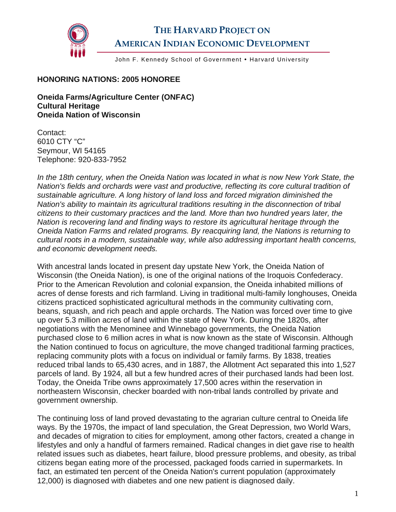

## **THE HARVARD PROJECT ON AMERICAN INDIAN ECONOMIC DEVELOPMENT**

John F. Kennedy School of Government . Harvard University

## **HONORING NATIONS: 2005 HONOREE**

**Oneida Farms/Agriculture Center (ONFAC) Cultural Heritage Oneida Nation of Wisconsin** 

Contact: 6010 CTY "C" Seymour, WI 54165 Telephone: 920-833-7952

In the 18th century, when the Oneida Nation was located in what is now New York State, the *Nation's fields and orchards were vast and productive, reflecting its core cultural tradition of sustainable agriculture. A long history of land loss and forced migration diminished the Nation's ability to maintain its agricultural traditions resulting in the disconnection of tribal citizens to their customary practices and the land. More than two hundred years later, the Nation is recovering land and finding ways to restore its agricultural heritage through the Oneida Nation Farms and related programs. By reacquiring land, the Nations is returning to cultural roots in a modern, sustainable way, while also addressing important health concerns, and economic development needs.* 

With ancestral lands located in present day upstate New York, the Oneida Nation of Wisconsin (the Oneida Nation), is one of the original nations of the Iroquois Confederacy. Prior to the American Revolution and colonial expansion, the Oneida inhabited millions of acres of dense forests and rich farmland. Living in traditional multi-family longhouses, Oneida citizens practiced sophisticated agricultural methods in the community cultivating corn, beans, squash, and rich peach and apple orchards. The Nation was forced over time to give up over 5.3 million acres of land within the state of New York. During the 1820s, after negotiations with the Menominee and Winnebago governments, the Oneida Nation purchased close to 6 million acres in what is now known as the state of Wisconsin. Although the Nation continued to focus on agriculture, the move changed traditional farming practices, replacing community plots with a focus on individual or family farms. By 1838, treaties reduced tribal lands to 65,430 acres, and in 1887, the Allotment Act separated this into 1,527 parcels of land. By 1924, all but a few hundred acres of their purchased lands had been lost. Today, the Oneida Tribe owns approximately 17,500 acres within the reservation in northeastern Wisconsin, checker boarded with non-tribal lands controlled by private and government ownership.

The continuing loss of land proved devastating to the agrarian culture central to Oneida life ways. By the 1970s, the impact of land speculation, the Great Depression, two World Wars, and decades of migration to cities for employment, among other factors, created a change in lifestyles and only a handful of farmers remained. Radical changes in diet gave rise to health related issues such as diabetes, heart failure, blood pressure problems, and obesity, as tribal citizens began eating more of the processed, packaged foods carried in supermarkets. In fact, an estimated ten percent of the Oneida Nation's current population (approximately 12,000) is diagnosed with diabetes and one new patient is diagnosed daily.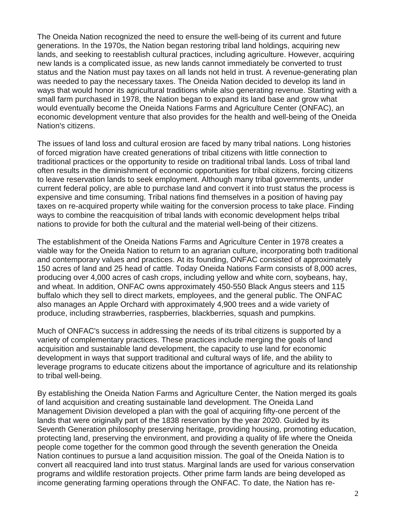The Oneida Nation recognized the need to ensure the well-being of its current and future generations. In the 1970s, the Nation began restoring tribal land holdings, acquiring new lands, and seeking to reestablish cultural practices, including agriculture. However, acquiring new lands is a complicated issue, as new lands cannot immediately be converted to trust status and the Nation must pay taxes on all lands not held in trust. A revenue-generating plan was needed to pay the necessary taxes. The Oneida Nation decided to develop its land in ways that would honor its agricultural traditions while also generating revenue. Starting with a small farm purchased in 1978, the Nation began to expand its land base and grow what would eventually become the Oneida Nations Farms and Agriculture Center (ONFAC), an economic development venture that also provides for the health and well-being of the Oneida Nation's citizens.

The issues of land loss and cultural erosion are faced by many tribal nations. Long histories of forced migration have created generations of tribal citizens with little connection to traditional practices or the opportunity to reside on traditional tribal lands. Loss of tribal land often results in the diminishment of economic opportunities for tribal citizens, forcing citizens to leave reservation lands to seek employment. Although many tribal governments, under current federal policy, are able to purchase land and convert it into trust status the process is expensive and time consuming. Tribal nations find themselves in a position of having pay taxes on re-acquired property while waiting for the conversion process to take place. Finding ways to combine the reacquisition of tribal lands with economic development helps tribal nations to provide for both the cultural and the material well-being of their citizens.

The establishment of the Oneida Nations Farms and Agriculture Center in 1978 creates a viable way for the Oneida Nation to return to an agrarian culture, incorporating both traditional and contemporary values and practices. At its founding, ONFAC consisted of approximately 150 acres of land and 25 head of cattle. Today Oneida Nations Farm consists of 8,000 acres, producing over 4,000 acres of cash crops, including yellow and white corn, soybeans, hay, and wheat. In addition, ONFAC owns approximately 450-550 Black Angus steers and 115 buffalo which they sell to direct markets, employees, and the general public. The ONFAC also manages an Apple Orchard with approximately 4,900 trees and a wide variety of produce, including strawberries, raspberries, blackberries, squash and pumpkins.

Much of ONFAC's success in addressing the needs of its tribal citizens is supported by a variety of complementary practices. These practices include merging the goals of land acquisition and sustainable land development, the capacity to use land for economic development in ways that support traditional and cultural ways of life, and the ability to leverage programs to educate citizens about the importance of agriculture and its relationship to tribal well-being.

By establishing the Oneida Nation Farms and Agriculture Center, the Nation merged its goals of land acquisition and creating sustainable land development. The Oneida Land Management Division developed a plan with the goal of acquiring fifty-one percent of the lands that were originally part of the 1838 reservation by the year 2020. Guided by its Seventh Generation philosophy preserving heritage, providing housing, promoting education, protecting land, preserving the environment, and providing a quality of life where the Oneida people come together for the common good through the seventh generation the Oneida Nation continues to pursue a land acquisition mission. The goal of the Oneida Nation is to convert all reacquired land into trust status. Marginal lands are used for various conservation programs and wildlife restoration projects. Other prime farm lands are being developed as income generating farming operations through the ONFAC. To date, the Nation has re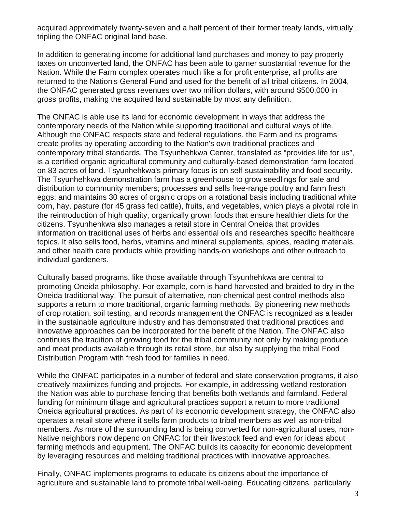acquired approximately twenty-seven and a half percent of their former treaty lands, virtually tripling the ONFAC original land base.

In addition to generating income for additional land purchases and money to pay property taxes on unconverted land, the ONFAC has been able to garner substantial revenue for the Nation. While the Farm complex operates much like a for profit enterprise, all profits are returned to the Nation's General Fund and used for the benefit of all tribal citizens. In 2004, the ONFAC generated gross revenues over two million dollars, with around \$500,000 in gross profits, making the acquired land sustainable by most any definition.

The ONFAC is able use its land for economic development in ways that address the contemporary needs of the Nation while supporting traditional and cultural ways of life. Although the ONFAC respects state and federal regulations, the Farm and its programs create profits by operating according to the Nation's own traditional practices and contemporary tribal standards. The Tsyunhehkwa Center, translated as "provides life for us", is a certified organic agricultural community and culturally-based demonstration farm located on 83 acres of land. Tsyunhehkwa's primary focus is on self-sustainability and food security. The Tsyunhehkwa demonstration farm has a greenhouse to grow seedlings for sale and distribution to community members; processes and sells free-range poultry and farm fresh eggs; and maintains 30 acres of organic crops on a rotational basis including traditional white corn, hay, pasture (for 45 grass fed cattle), fruits, and vegetables, which plays a pivotal role in the reintroduction of high quality, organically grown foods that ensure healthier diets for the citizens. Tsyunhehkwa also manages a retail store in Central Oneida that provides information on traditional uses of herbs and essential oils and researches specific healthcare topics. It also sells food, herbs, vitamins and mineral supplements, spices, reading materials, and other health care products while providing hands-on workshops and other outreach to individual gardeners.

Culturally based programs, like those available through Tsyunhehkwa are central to promoting Oneida philosophy. For example, corn is hand harvested and braided to dry in the Oneida traditional way. The pursuit of alternative, non-chemical pest control methods also supports a return to more traditional, organic farming methods. By pioneering new methods of crop rotation, soil testing, and records management the ONFAC is recognized as a leader in the sustainable agriculture industry and has demonstrated that traditional practices and innovative approaches can be incorporated for the benefit of the Nation. The ONFAC also continues the tradition of growing food for the tribal community not only by making produce and meat products available through its retail store, but also by supplying the tribal Food Distribution Program with fresh food for families in need.

While the ONFAC participates in a number of federal and state conservation programs, it also creatively maximizes funding and projects. For example, in addressing wetland restoration the Nation was able to purchase fencing that benefits both wetlands and farmland. Federal funding for minimum tillage and agricultural practices support a return to more traditional Oneida agricultural practices. As part of its economic development strategy, the ONFAC also operates a retail store where it sells farm products to tribal members as well as non-tribal members. As more of the surrounding land is being converted for non-agricultural uses, non-Native neighbors now depend on ONFAC for their livestock feed and even for ideas about farming methods and equipment. The ONFAC builds its capacity for economic development by leveraging resources and melding traditional practices with innovative approaches.

Finally, ONFAC implements programs to educate its citizens about the importance of agriculture and sustainable land to promote tribal well-being. Educating citizens, particularly